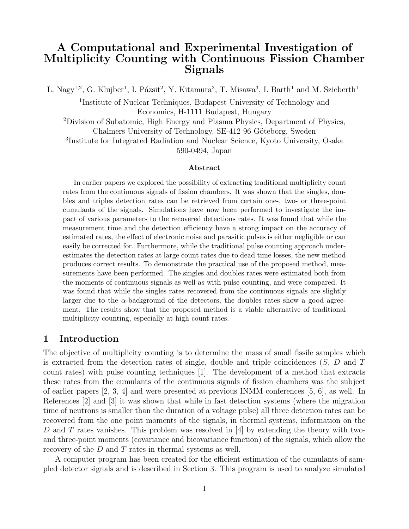# A Computational and Experimental Investigation of Multiplicity Counting with Continuous Fission Chamber Signals

L. Nagy<sup>1,2</sup>, G. Klujber<sup>1</sup>, I. Pázsit<sup>2</sup>, Y. Kitamura<sup>3</sup>, T. Misawa<sup>3</sup>, I. Barth<sup>1</sup> and M. Szieberth<sup>1</sup>

<sup>1</sup>Institute of Nuclear Techniques, Budapest University of Technology and Economics, H-1111 Budapest, Hungary

<sup>2</sup>Division of Subatomic, High Energy and Plasma Physics, Department of Physics, Chalmers University of Technology, SE-412 96 Göteborg, Sweden 3 Institute for Integrated Radiation and Nuclear Science, Kyoto University, Osaka 590-0494, Japan

#### Abstract

In earlier papers we explored the possibility of extracting traditional multiplicity count rates from the continuous signals of fission chambers. It was shown that the singles, doubles and triples detection rates can be retrieved from certain one-, two- or three-point cumulants of the signals. Simulations have now been performed to investigate the impact of various parameters to the recovered detections rates. It was found that while the measurement time and the detection efficiency have a strong impact on the accuracy of estimated rates, the effect of electronic noise and parasitic pulses is either negligible or can easily be corrected for. Furthermore, while the traditional pulse counting approach underestimates the detection rates at large count rates due to dead time losses, the new method produces correct results. To demonstrate the practical use of the proposed method, measurements have been performed. The singles and doubles rates were estimated both from the moments of continuous signals as well as with pulse counting, and were compared. It was found that while the singles rates recovered from the continuous signals are slightly larger due to the  $\alpha$ -background of the detectors, the doubles rates show a good agreement. The results show that the proposed method is a viable alternative of traditional multiplicity counting, especially at high count rates.

### 1 Introduction

The objective of multiplicity counting is to determine the mass of small fissile samples which is extracted from the detection rates of single, double and triple coincidences  $(S, D)$  and T count rates) with pulse counting techniques [1]. The development of a method that extracts these rates from the cumulants of the continuous signals of fission chambers was the subject of earlier papers [2, 3, 4] and were presented at previous INMM conferences [5, 6], as well. In References [2] and [3] it was shown that while in fast detection systems (where the migration time of neutrons is smaller than the duration of a voltage pulse) all three detection rates can be recovered from the one point moments of the signals, in thermal systems, information on the D and T rates vanishes. This problem was resolved in  $[4]$  by extending the theory with twoand three-point moments (covariance and bicovariance function) of the signals, which allow the recovery of the  $D$  and  $T$  rates in thermal systems as well.

A computer program has been created for the efficient estimation of the cumulants of sampled detector signals and is described in Section 3. This program is used to analyze simulated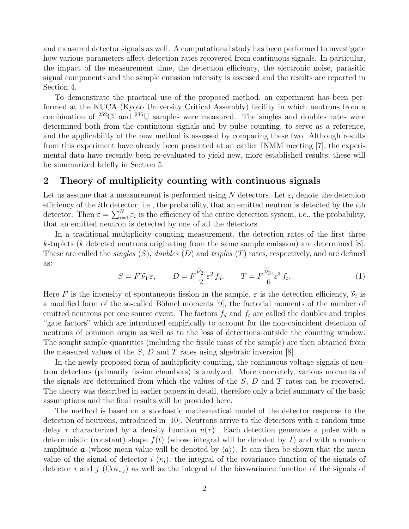and measured detector signals as well. A computational study has been performed to investigate how various parameters affect detection rates recovered from continuous signals. In particular, the impact of the measurement time, the detection efficiency, the electronic noise, parasitic signal components and the sample emission intensity is assessed and the results are reported in Section 4.

To demonstrate the practical use of the proposed method, an experiment has been performed at the KUCA (Kyoto University Critical Assembly) facility in which neutrons from a combination of  $252 \text{C}$ f and  $235 \text{U}$  samples were measured. The singles and doubles rates were determined both from the continuous signals and by pulse counting, to serve as a reference, and the applicability of the new method is assessed by comparing these two. Although results from this experiment have already been presented at an earlier INMM meeting [7], the experimental data have recently been re-evaluated to yield new, more established results; these will be summarized briefly in Section 5.

### 2 Theory of multiplicity counting with continuous signals

Let us assume that a measurement is performed using N detectors. Let  $\varepsilon_i$  denote the detection efficiency of the ith detector, i.e., the probability, that an emitted neutron is detected by the ith detector. Then  $\varepsilon = \sum_{i=1}^{N} \varepsilon_i$  is the efficiency of the entire detection system, i.e., the probability, that an emitted neutron is detected by one of all the detectors.

In a traditional multiplicity counting measurement, the detection rates of the first three k-tuplets (k detected neutrons originating from the same sample emission) are determined  $[8]$ . These are called the *singles*  $(S)$ , *doubles*  $(D)$  and *triples*  $(T)$  rates, respectively, and are defined as:

$$
S = F \tilde{\nu}_1 \varepsilon, \qquad D = F \frac{\tilde{\nu}_2}{2} \varepsilon^2 f_d, \qquad T = F \frac{\tilde{\nu}_3}{6} \varepsilon^3 f_t. \tag{1}
$$

Here F is the intensity of spontaneous fission in the sample,  $\varepsilon$  is the detection efficiency,  $\tilde{\nu}_i$  is<br>a modified form of the se called Böhnel moments [0], the factorial moments of the number of a modified form of the so-called Böhnel moments [9], the factorial moments of the number of emitted neutrons per one source event. The factors  $f_d$  and  $f_t$  are called the doubles and triples "gate factors" which are introduced empirically to account for the non-coincident detection of neutrons of common origin as well as to the loss of detections outside the counting window. The sought sample quantities (including the fissile mass of the sample) are then obtained from the measured values of the  $S, D$  and T rates using algebraic inversion [8].

In the newly proposed form of multiplicity counting, the continuous voltage signals of neutron detectors (primarily fission chambers) is analyzed. More concretely, various moments of the signals are determined from which the values of the S, D and T rates can be recovered. The theory was described in earlier papers in detail, therefore only a brief summary of the basic assumptions and the final results will be provided here.

The method is based on a stochastic mathematical model of the detector response to the detection of neutrons, introduced in [10]. Neutrons arrive to the detectors with a random time delay  $\tau$  characterized by a density function  $u(\tau)$ . Each detection generates a pulse with a deterministic (constant) shape  $f(t)$  (whose integral will be denoted by I) and with a random amplitude  $\boldsymbol{a}$  (whose mean value will be denoted by  $\langle a \rangle$ ). It can then be shown that the mean value of the signal of detector i  $(\kappa_i)$ , the integral of the covariance function of the signals of detector i and j  $(\text{Cov}_{i,j})$  as well as the integral of the bicovariance function of the signals of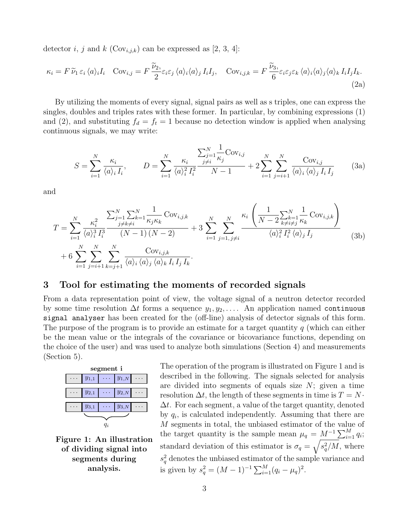detector i, j and k  $(\text{Cov}_{i,j,k})$  can be expressed as [2, 3, 4]:

$$
\kappa_i = F \widetilde{\nu}_1 \varepsilon_i \langle a \rangle_i I_i \quad \text{Cov}_{i,j} = F \frac{\widetilde{\nu}_2}{2} \varepsilon_i \varepsilon_j \langle a \rangle_i \langle a \rangle_j I_i I_j, \quad \text{Cov}_{i,j,k} = F \frac{\widetilde{\nu}_3}{6} \varepsilon_i \varepsilon_j \varepsilon_k \langle a \rangle_i \langle a \rangle_j \langle a \rangle_k I_i I_j I_k.
$$
\n(2a)

By utilizing the moments of every signal, signal pairs as well as s triples, one can express the singles, doubles and triples rates with these former. In particular, by combining expressions (1) and (2), and substituting  $f_d = f_t = 1$  because no detection window is applied when analysing continuous signals, we may write:

$$
S = \sum_{i=1}^{N} \frac{\kappa_i}{\langle a \rangle_i I_i}, \qquad D = \sum_{i=1}^{N} \frac{\sum_{j=1}^{N} \frac{1}{\kappa_j} \text{Cov}_{i,j}}{\langle a \rangle_i^2 I_i^2} + 2 \sum_{i=1}^{N} \sum_{j=i+1}^{N} \frac{\text{Cov}_{i,j}}{\langle a \rangle_i \langle a \rangle_j I_i I_j}
$$
(3a)

and

$$
T = \sum_{i=1}^{N} \frac{\kappa_i^2}{\langle a \rangle_i^3 I_i^3} \frac{\sum_{j=1}^{N} \sum_{k=1}^{N} \frac{1}{\kappa_j \kappa_k} \text{Cov}_{i,j,k}}{(N-1)(N-2)} + 3 \sum_{i=1}^{N} \sum_{j=1, j \neq i}^{N} \frac{\kappa_i \left( \frac{1}{N-2} \sum_{k=1}^{N} \frac{1}{\kappa_k} \text{Cov}_{i,j,k} \right)}{\langle a \rangle_i^2 I_i^2 \langle a \rangle_j I_j} + 6 \sum_{i=1}^{N} \sum_{j=i+1}^{N} \sum_{k=j+1}^{N} \frac{\text{Cov}_{i,j,k}}{\langle a \rangle_i \langle a \rangle_j \langle a \rangle_k I_i I_j I_k}.
$$
 (3b)

#### 3 Tool for estimating the moments of recorded signals

From a data representation point of view, the voltage signal of a neutron detector recorded by some time resolution  $\Delta t$  forms a sequence  $y_1, y_2, \ldots$ . An application named continuous signal analyser has been created for the (off-line) analysis of detector signals of this form. The purpose of the program is to provide an estimate for a target quantity q (which can either be the mean value or the integrals of the covariance or bicovariance functions, depending on the choice of the user) and was used to analyze both simulations (Section 4) and measurements (Section 5).

| segment i |           |  |           |  |  |  |
|-----------|-----------|--|-----------|--|--|--|
|           | $y_{1,1}$ |  | $y_{1,N}$ |  |  |  |
|           |           |  |           |  |  |  |
|           | $y_{2,1}$ |  | $y_{2,N}$ |  |  |  |
|           |           |  |           |  |  |  |
|           | $y_{3,1}$ |  | $y_{3,N}$ |  |  |  |
|           |           |  |           |  |  |  |
|           |           |  |           |  |  |  |
|           |           |  |           |  |  |  |



The operation of the program is illustrated on Figure 1 and is described in the following. The signals selected for analysis are divided into segments of equals size  $N$ ; given a time resolution  $\Delta t$ , the length of these segments in time is  $T = N$ .  $\Delta t$ . For each segment, a value of the target quantity, denoted by  $q_i$ , is calculated independently. Assuming that there are M segments in total, the unbiased estimator of the value of the target quantity is the sample mean  $\mu_q = M^{-1} \sum_{i=1}^M q_i$ ; standard deviation of this estimator is  $\sigma_q = \sqrt{s_q^2/M}$ , where  $s_q^2$  denotes the unbiased estimator of the sample variance and is given by  $s_q^2 = (M-1)^{-1} \sum_{i=1}^M (q_i - \mu_q)^2$ .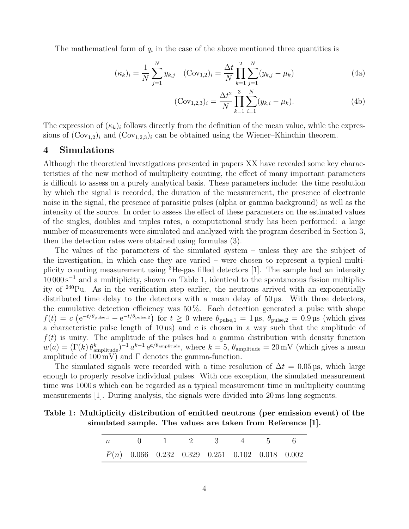The mathematical form of  $q_i$  in the case of the above mentioned three quantities is

$$
(\kappa_k)_i = \frac{1}{N} \sum_{j=1}^N y_{k,j} \quad (\text{Cov}_{1,2})_i = \frac{\Delta t}{N} \prod_{k=1}^2 \sum_{j=1}^N (y_{k,j} - \mu_k) \tag{4a}
$$

$$
(\text{Cov}_{1,2,3})_i = \frac{\Delta t^2}{N} \prod_{k=1}^3 \sum_{i=1}^N (y_{k,i} - \mu_k).
$$
 (4b)

The expression of  $(\kappa_k)_i$  follows directly from the definition of the mean value, while the expressions of  $(\text{Cov}_{1,2})_i$  and  $(\text{Cov}_{1,2,3})_i$  can be obtained using the Wiener–Khinchin theorem.

### 4 Simulations

Although the theoretical investigations presented in papers XX have revealed some key characteristics of the new method of multiplicity counting, the effect of many important parameters is difficult to assess on a purely analytical basis. These parameters include: the time resolution by which the signal is recorded, the duration of the measurement, the presence of electronic noise in the signal, the presence of parasitic pulses (alpha or gamma background) as well as the intensity of the source. In order to assess the effect of these parameters on the estimated values of the singles, doubles and triples rates, a computational study has been performed: a large number of measurements were simulated and analyzed with the program described in Section 3, then the detection rates were obtained using formulas (3).

The values of the parameters of the simulated system – unless they are the subject of the investigation, in which case they are varied – were chosen to represent a typical multiplicity counting measurement using <sup>3</sup>He-gas filled detectors [1]. The sample had an intensity 10 000 s<sup>−</sup><sup>1</sup> and a multiplicity, shown on Table 1, identical to the spontaneous fission multiplicity of <sup>240</sup>Pu. As in the verification step earlier, the neutrons arrived with an exponentially distributed time delay to the detectors with a mean delay of 50 µs. With three detectors, the cumulative detection efficiency was 50 %. Each detection generated a pulse with shape  $f(t) = c \left( e^{-t/\theta_{\text{pulse},1}} - e^{-t/\theta_{\text{pulse},2}} \right)$  for  $t \ge 0$  where  $\theta_{\text{pulse},1} = 1$  µs,  $\theta_{\text{pulse},2} = 0.9$  µs (which gives a characteristic pulse length of 10 us) and c is chosen in a way such that the amplitude of  $f(t)$  is unity. The amplitude of the pulses had a gamma distribution with density function  $w(a) = (\Gamma(k) \theta_{\text{amplitude}}^k)^{-1} a^{k-1} e^{a/\theta_{\text{amplitude}}}, \text{ where } k = 5, \theta_{\text{amplitude}} = 20 \,\text{mV}$  (which gives a mean amplitude of  $100 \,\mathrm{mV}$  and  $\Gamma$  denotes the gamma-function.

The simulated signals were recorded with a time resolution of  $\Delta t = 0.05 \,\text{\upmu s}$ , which large enough to properly resolve individual pulses. With one exception, the simulated measurement time was 1000 s which can be regarded as a typical measurement time in multiplicity counting measurements [1]. During analysis, the signals were divided into 20 ms long segments.

Table 1: Multiplicity distribution of emitted neutrons (per emission event) of the simulated sample. The values are taken from Reference [1].

|  |  | n (1 2 3 4 5 6                                   |  |
|--|--|--------------------------------------------------|--|
|  |  | $P(n)$ 0.066 0.232 0.329 0.251 0.102 0.018 0.002 |  |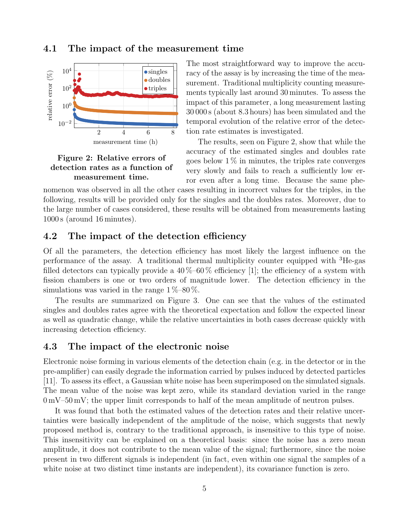

### 4.1 The impact of the measurement time

### Figure 2: Relative errors of detection rates as a function of measurement time.

The most straightforward way to improve the accuracy of the assay is by increasing the time of the measurement. Traditional multiplicity counting measurements typically last around 30 minutes. To assess the impact of this parameter, a long measurement lasting 30 000 s (about 8.3 hours) has been simulated and the temporal evolution of the relative error of the detection rate estimates is investigated.

The results, seen on Figure 2, show that while the accuracy of the estimated singles and doubles rate goes below  $1\%$  in minutes, the triples rate converges very slowly and fails to reach a sufficiently low error even after a long time. Because the same phe-

nomenon was observed in all the other cases resulting in incorrect values for the triples, in the following, results will be provided only for the singles and the doubles rates. Moreover, due to the large number of cases considered, these results will be obtained from measurements lasting 1000 s (around 16 minutes).

## 4.2 The impact of the detection efficiency

Of all the parameters, the detection efficiency has most likely the largest influence on the performance of the assay. A traditional thermal multiplicity counter equipped with  ${}^{3}He$ -gas filled detectors can typically provide a  $40\%$ – $60\%$  efficiency [1]; the efficiency of a system with fission chambers is one or two orders of magnitude lower. The detection efficiency in the simulations was varied in the range  $1\,\%-80\,\%$ .

The results are summarized on Figure 3. One can see that the values of the estimated singles and doubles rates agree with the theoretical expectation and follow the expected linear as well as quadratic change, while the relative uncertainties in both cases decrease quickly with increasing detection efficiency.

### 4.3 The impact of the electronic noise

Electronic noise forming in various elements of the detection chain (e.g. in the detector or in the pre-amplifier) can easily degrade the information carried by pulses induced by detected particles [11]. To assess its effect, a Gaussian white noise has been superimposed on the simulated signals. The mean value of the noise was kept zero, while its standard deviation varied in the range  $0 \,\mathrm{mV}$ –50 mV; the upper limit corresponds to half of the mean amplitude of neutron pulses.

It was found that both the estimated values of the detection rates and their relative uncertainties were basically independent of the amplitude of the noise, which suggests that newly proposed method is, contrary to the traditional approach, is insensitive to this type of noise. This insensitivity can be explained on a theoretical basis: since the noise has a zero mean amplitude, it does not contribute to the mean value of the signal; furthermore, since the noise present in two different signals is independent (in fact, even within one signal the samples of a white noise at two distinct time instants are independent), its covariance function is zero.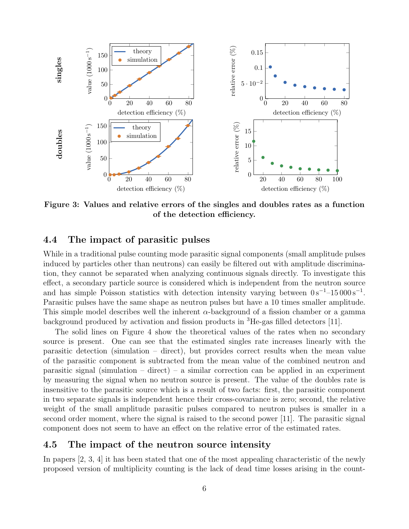

Figure 3: Values and relative errors of the singles and doubles rates as a function of the detection efficiency.

### 4.4 The impact of parasitic pulses

While in a traditional pulse counting mode parasitic signal components (small amplitude pulses induced by particles other than neutrons) can easily be filtered out with amplitude discrimination, they cannot be separated when analyzing continuous signals directly. To investigate this effect, a secondary particle source is considered which is independent from the neutron source and has simple Poisson statistics with detection intensity varying between  $0 s^{-1}$ –15 000 s<sup>-1</sup>. Parasitic pulses have the same shape as neutron pulses but have a 10 times smaller amplitude. This simple model describes well the inherent  $\alpha$ -background of a fission chamber or a gamma background produced by activation and fission products in <sup>3</sup>He-gas filled detectors [11].

The solid lines on Figure 4 show the theoretical values of the rates when no secondary source is present. One can see that the estimated singles rate increases linearly with the parasitic detection (simulation – direct), but provides correct results when the mean value of the parasitic component is subtracted from the mean value of the combined neutron and parasitic signal (simulation – direct) – a similar correction can be applied in an experiment by measuring the signal when no neutron source is present. The value of the doubles rate is insensitive to the parasitic source which is a result of two facts: first, the parasitic component in two separate signals is independent hence their cross-covariance is zero; second, the relative weight of the small amplitude parasitic pulses compared to neutron pulses is smaller in a second order moment, where the signal is raised to the second power [11]. The parasitic signal component does not seem to have an effect on the relative error of the estimated rates.

### 4.5 The impact of the neutron source intensity

In papers [2, 3, 4] it has been stated that one of the most appealing characteristic of the newly proposed version of multiplicity counting is the lack of dead time losses arising in the count-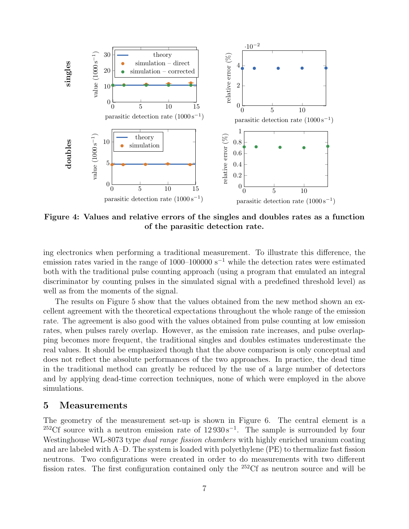

Figure 4: Values and relative errors of the singles and doubles rates as a function of the parasitic detection rate.

ing electronics when performing a traditional measurement. To illustrate this difference, the emission rates varied in the range of 1000–100000 s<sup>-1</sup> while the detection rates were estimated both with the traditional pulse counting approach (using a program that emulated an integral discriminator by counting pulses in the simulated signal with a predefined threshold level) as well as from the moments of the signal.

The results on Figure 5 show that the values obtained from the new method shown an excellent agreement with the theoretical expectations throughout the whole range of the emission rate. The agreement is also good with the values obtained from pulse counting at low emission rates, when pulses rarely overlap. However, as the emission rate increases, and pulse overlapping becomes more frequent, the traditional singles and doubles estimates underestimate the real values. It should be emphasized though that the above comparison is only conceptual and does not reflect the absolute performances of the two approaches. In practice, the dead time in the traditional method can greatly be reduced by the use of a large number of detectors and by applying dead-time correction techniques, none of which were employed in the above simulations.

#### 5 Measurements

The geometry of the measurement set-up is shown in Figure 6. The central element is a <sup>252</sup>Cf source with a neutron emission rate of  $12930 s^{-1}$ . The sample is surrounded by four Westinghouse WL-8073 type *dual range fission chambers* with highly enriched uranium coating and are labeled with A–D. The system is loaded with polyethylene (PE) to thermalize fast fission neutrons. Two configurations were created in order to do measurements with two different fission rates. The first configuration contained only the  $252 \text{C}$  as neutron source and will be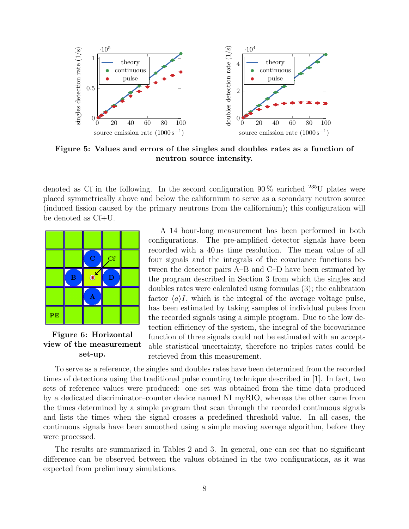

Figure 5: Values and errors of the singles and doubles rates as a function of neutron source intensity.

denoted as Cf in the following. In the second configuration  $90\%$  enriched  $^{235}$ U plates were placed symmetrically above and below the californium to serve as a secondary neutron source (induced fission caused by the primary neutrons from the californium); this configuration will be denoted as Cf+U.



Figure 6: Horizontal view of the measurement set-up.

A 14 hour-long measurement has been performed in both configurations. The pre-amplified detector signals have been recorded with a 40 ns time resolution. The mean value of all four signals and the integrals of the covariance functions between the detector pairs A–B and C–D have been estimated by the program described in Section 3 from which the singles and doubles rates were calculated using formulas (3); the calibration factor  $\langle a \rangle I$ , which is the integral of the average voltage pulse, has been estimated by taking samples of individual pulses from the recorded signals using a simple program. Due to the low detection efficiency of the system, the integral of the bicovariance function of three signals could not be estimated with an acceptable statistical uncertainty, therefore no triples rates could be retrieved from this measurement.

To serve as a reference, the singles and doubles rates have been determined from the recorded times of detections using the traditional pulse counting technique described in [1]. In fact, two sets of reference values were produced: one set was obtained from the time data produced by a dedicated discriminator–counter device named NI myRIO, whereas the other came from the times determined by a simple program that scan through the recorded continuous signals and lists the times when the signal crosses a predefined threshold value. In all cases, the continuous signals have been smoothed using a simple moving average algorithm, before they were processed.

The results are summarized in Tables 2 and 3. In general, one can see that no significant difference can be observed between the values obtained in the two configurations, as it was expected from preliminary simulations.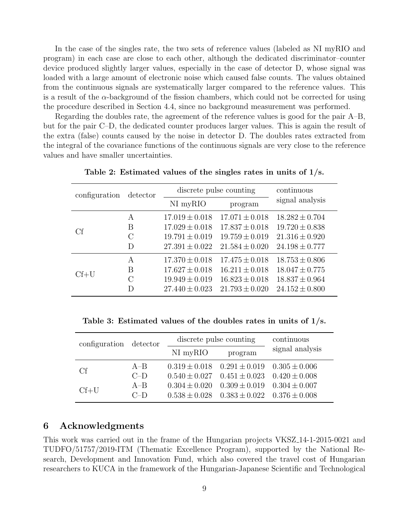In the case of the singles rate, the two sets of reference values (labeled as NI myRIO and program) in each case are close to each other, although the dedicated discriminator–counter device produced slightly larger values, especially in the case of detector D, whose signal was loaded with a large amount of electronic noise which caused false counts. The values obtained from the continuous signals are systematically larger compared to the reference values. This is a result of the  $\alpha$ -background of the fission chambers, which could not be corrected for using the procedure described in Section 4.4, since no background measurement was performed.

Regarding the doubles rate, the agreement of the reference values is good for the pair A–B, but for the pair C–D, the dedicated counter produces larger values. This is again the result of the extra (false) counts caused by the noise in detector D. The doubles rates extracted from the integral of the covariance functions of the continuous signals are very close to the reference values and have smaller uncertainties.

| configuration | detector            | discrete pulse counting                  | continuous                               |                                          |
|---------------|---------------------|------------------------------------------|------------------------------------------|------------------------------------------|
|               |                     | NI myRIO                                 | program                                  | signal analysis                          |
| Cf            | A                   | $17.019 \pm 0.018$<br>$17.029 \pm 0.018$ | $17.071 \pm 0.018$<br>$17.837 \pm 0.018$ | $18.282 \pm 0.704$<br>$19.720 \pm 0.838$ |
|               | В<br>$\overline{C}$ | $19.791 \pm 0.019$                       | $19.759 \pm 0.019$                       | $21.316 \pm 0.920$                       |
|               | D                   | $27.391 \pm 0.022$                       | $21.584 \pm 0.020$                       | $24.198 \pm 0.777$                       |
| $Cf+U$        | A                   | $17.370 \pm 0.018$                       | $17.475 \pm 0.018$                       | $18.753 \pm 0.806$                       |
|               | B                   | $17.627 \pm 0.018$                       | $16.211 \pm 0.018$                       | $18.047 \pm 0.775$                       |
|               | $\overline{C}$      | $19.949 \pm 0.019$                       | $16.823 \pm 0.018$                       | $18.837 \pm 0.964$                       |
|               | D                   | $27.440 \pm 0.023$                       | $21.793 \pm 0.020$                       | $24.152 \pm 0.800$                       |

Table 2: Estimated values of the singles rates in units of 1/s.

Table 3: Estimated values of the doubles rates in units of 1/s.

| configuration detector |       | discrete pulse counting | continuous                          |                   |
|------------------------|-------|-------------------------|-------------------------------------|-------------------|
|                        |       | NI myRIO                | program                             | signal analysis   |
| Cf                     | $A-B$ | $0.319 \pm 0.018$       | $0.291 \pm 0.019$                   | $0.305 \pm 0.006$ |
|                        | $C-D$ |                         | $0.540 \pm 0.027$ $0.451 \pm 0.023$ | $0.420 \pm 0.008$ |
| $Cf+U$                 | $A-B$ | $0.304 \pm 0.020$       | $0.309 \pm 0.019$                   | $0.304 \pm 0.007$ |
|                        | $C-D$ | $0.538 \pm 0.028$       | $0.383 \pm 0.022$                   | $0.376 \pm 0.008$ |

### 6 Acknowledgments

This work was carried out in the frame of the Hungarian projects VKSZ 14-1-2015-0021 and TUDFO/51757/2019-ITM (Thematic Excellence Program), supported by the National Research, Development and Innovation Fund, which also covered the travel cost of Hungarian researchers to KUCA in the framework of the Hungarian-Japanese Scientific and Technological